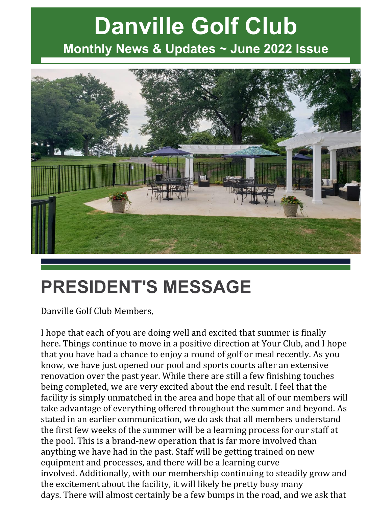# **Danville Golf Club Monthly News & Updates ~ June 2022 Issue**



# **PRESIDENT'S MESSAGE**

Danville Golf Club Members,

I hope that each of you are doing well and excited that summer is finally here. Things continue to move in a positive direction at Your Club, and I hope that you have had a chance to enjoy a round of golf or meal recently. As you know, we have just opened our pool and sports courts after an extensive renovation over the past year. While there are still a few finishing touches being completed, we are very excited about the end result. I feel that the facility is simply unmatched in the area and hope that all of our members will take advantage of everything offered throughout the summer and beyond. As stated in an earlier communication, we do ask that all members understand the first few weeks of the summer will be a learning process for our staff at the pool. This is a brand-new operation that is far more involved than anything we have had in the past. Staff will be getting trained on new equipment and processes, and there will be a learning curve involved. Additionally, with our membership continuing to steadily grow and the excitement about the facility, it will likely be pretty busy many days. There will almost certainly be a few bumps in the road, and we ask that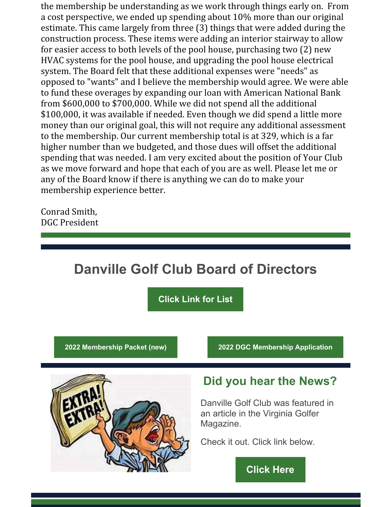the membership be understanding as we work through things early on. From a cost perspective, we ended up spending about 10% more than our original estimate. This came largely from three (3) things that were added during the construction process. These items were adding an interior stairway to allow for easier access to both levels of the pool house, purchasing two (2) new HVAC systems for the pool house, and upgrading the pool house electrical system. The Board felt that these additional expenses were "needs" as opposed to "wants" and I believe the membership would agree. We were able to fund these overages by expanding our loan with American National Bank from \$600,000 to \$700,000. While we did not spend all the additional \$100,000, it was available if needed. Even though we did spend a little more money than our original goal, this will not require any additional assessment to the membership. Our current membership total is at 329, which is a far higher number than we budgeted, and those dues will offset the additional spending that was needed. I am very excited about the position of Your Club as we move forward and hope that each of you are as well. Please let me or any of the Board know if there is anything we can do to make your membership experience better.

Conrad Smith, DGC President

#### **Danville Golf Club Board of Directors**

**[Click](https://files.constantcontact.com/013ac6f8601/8510346a-2bdb-47e1-98a5-9bb3e86d4e12.pdf) Link for List**

**2022 [Membership](https://files.constantcontact.com/013ac6f8601/c4911011-ade5-4cde-90c1-52fe4e985dc5.pdf) Packet (new) 2022 DGC [Membership](https://files.constantcontact.com/013ac6f8601/65b0495b-4dc8-4142-81cb-f448eaf4602b.pdf) Application**



#### **Did you hear the News?**

Danville Golf Club was featured in an article in the Virginia Golfer Magazine.

Check it out. Click link below.

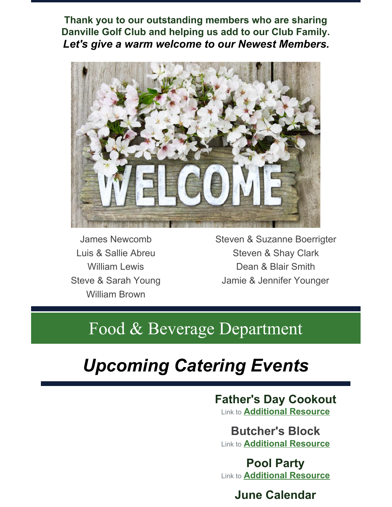**Thank you to our outstanding members who are sharing Danville Golf Club and helping us add to our Club Family.** *Let's give a warm welcome to our Newest Members.*



James Newcomb Luis & Sallie Abreu William Lewis Steve & Sarah Young William Brown

Steven & Suzanne Boerrigter Steven & Shay Clark Dean & Blair Smith Jamie & Jennifer Younger

## Food & Beverage Department

# *Upcoming Catering Events*

## **Father's Day Cookout**

Link to **[Additional](https://files.constantcontact.com/013ac6f8601/e718eef1-43d9-4725-9f0e-b5fab56a91e1.pdf) Resource**

**Butcher's Block** Link to **[Additional](https://files.constantcontact.com/013ac6f8601/0453a4e7-3b8d-4c49-82b2-e3fe6f2a7c71.pdf) Resource**

**Pool Party** Link to **[Additional](https://files.constantcontact.com/013ac6f8601/c63ce1ca-78fc-4f8f-96ab-c0e29ecade36.pdf) Resource**

#### **June Calendar**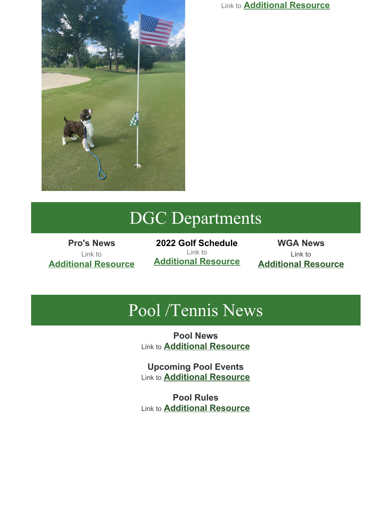

Link to **[Additional](https://files.constantcontact.com/013ac6f8601/24532547-f7b2-4434-a69e-8b7172722d8d.pdf) Resource**

## DGC Departments

**Pro's News** Link to **[Additional](https://files.constantcontact.com/013ac6f8601/23b987b1-4569-4067-ae44-dd7efbba7966.pdf) Resource**

**2022 Golf Schedule** Link to **[Additional](https://files.constantcontact.com/013ac6f8601/caa5e61a-4b5f-4935-9975-e2f8879b844c.pdf) Resource**

**WGA News** Link to **[Additional](https://files.constantcontact.com/013ac6f8601/113d1c61-1bf7-48cb-8d80-4950184a6fd9.pdf) Resource**

## Pool /Tennis News

**Pool News** Link to **[Additional](https://files.constantcontact.com/013ac6f8601/31918f74-eca7-4ee8-bcaf-36087ee888f7.pdf) Resource**

**Upcoming Pool Events** Link to **[Additional](https://files.constantcontact.com/013ac6f8601/b26636ed-6752-4365-a330-fb35a44d2966.pdf) Resource**

**Pool Rules** Link to **[Additional](https://files.constantcontact.com/013ac6f8601/a68d9574-49f9-4115-ad60-939cfca5c0d9.pdf) Resource**